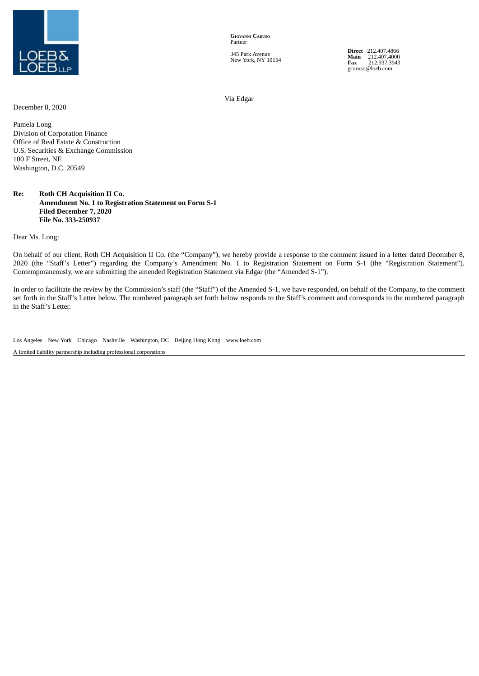

**GIOVANNI CARUSO** Partner

345 Park Avenue New York, NY 10154 **Direct** 212.407.4866 **Main** 212.407.4000 **Fax** 212.937.3943 gcaruso@loeb.com

Via Edgar

December 8, 2020

Pamela Long Division of Corporation Finance Office of Real Estate & Construction U.S. Securities & Exchange Commission 100 F Street, NE Washington, D.C. 20549

## **Re: Roth CH Acquisition II Co. Amendment No. 1 to Registration Statement on Form S-1 Filed December 7, 2020 File No. 333-250937**

Dear Ms. Long:

On behalf of our client, Roth CH Acquisition II Co. (the "Company"), we hereby provide a response to the comment issued in a letter dated December 8, 2020 (the "Staff's Letter") regarding the Company's Amendment No. 1 to Registration Statement on Form S-1 (the "Registration Statement"). Contemporaneously, we are submitting the amended Registration Statement via Edgar (the "Amended S-1").

In order to facilitate the review by the Commission's staff (the "Staff") of the Amended S-1, we have responded, on behalf of the Company, to the comment set forth in the Staff's Letter below. The numbered paragraph set forth below responds to the Staff's comment and corresponds to the numbered paragraph in the Staff's Letter.

Los Angeles New York Chicago Nashville Washington, DC Beijing Hong Kong www.loeb.com

A limited liability partnership including professional corporations